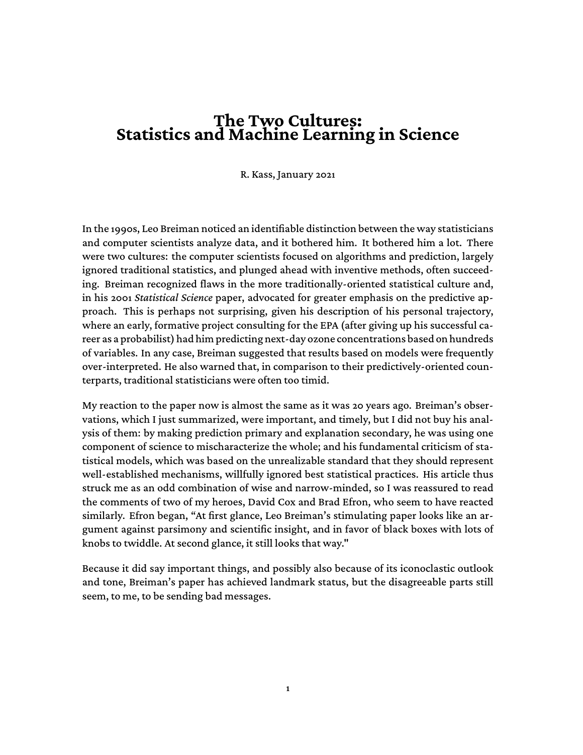## **The Two Cultures: Statistics and Machine Learning in Science**

#### R. Kass, January 2021

In the 1990s, Leo Breiman noticed an identifiable distinction between the way statisticians and computer scientists analyze data, and it bothered him. It bothered him a lot. There were two cultures: the computer scientists focused on algorithms and prediction, largely ignored traditional statistics, and plunged ahead with inventive methods, often succeeding. Breiman recognized flaws in the more traditionally-oriented statistical culture and, in his 2001 *Statistical Science* paper, advocated for greater emphasis on the predictive approach. This is perhaps not surprising, given his description of his personal trajectory, where an early, formative project consulting for the EPA (after giving up his successful career as a probabilist) had him predicting next-day ozone concentrations based on hundreds of variables. In any case, Breiman suggested that results based on models were frequently over-interpreted. He also warned that, in comparison to their predictively-oriented counterparts, traditional statisticians were often too timid.

My reaction to the paper now is almost the same as it was 20 years ago. Breiman's observations, which I just summarized, were important, and timely, but I did not buy his analysis of them: by making prediction primary and explanation secondary, he was using one component of science to mischaracterize the whole; and his fundamental criticism of statistical models, which was based on the unrealizable standard that they should represent well-established mechanisms, willfully ignored best statistical practices. His article thus struck me as an odd combination of wise and narrow-minded, so I was reassured to read the comments of two of my heroes, David Cox and Brad Efron, who seem to have reacted similarly. Efron began, "At first glance, Leo Breiman's stimulating paper looks like an argument against parsimony and scientific insight, and in favor of black boxes with lots of knobs to twiddle. At second glance, it still looks that way."

Because it did say important things, and possibly also because of its iconoclastic outlook and tone, Breiman's paper has achieved landmark status, but the disagreeable parts still seem, to me, to be sending bad messages.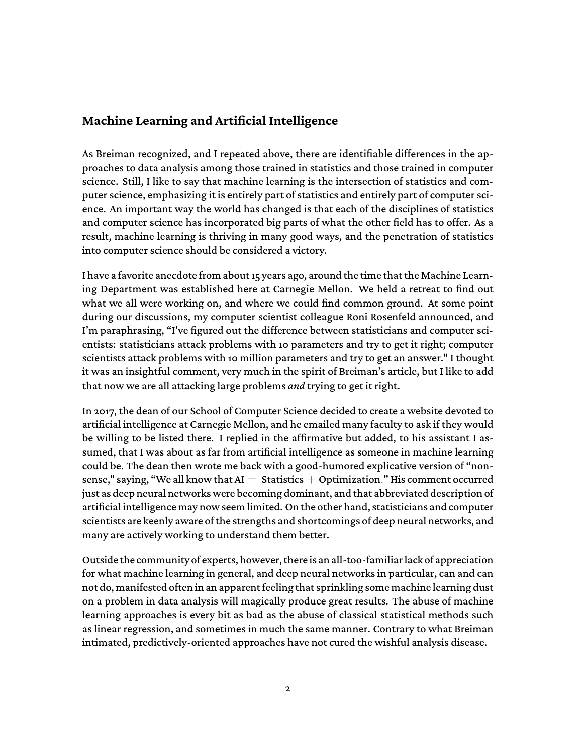#### **Machine Learning and Artificial Intelligence**

As Breiman recognized, and I repeated above, there are identifiable differences in the approaches to data analysis among those trained in statistics and those trained in computer science. Still, I like to say that machine learning is the intersection of statistics and computer science, emphasizing it is entirely part of statistics and entirely part of computer science. An important way the world has changed is that each of the disciplines of statistics and computer science has incorporated big parts of what the other field has to offer. As a result, machine learning is thriving in many good ways, and the penetration of statistics into computer science should be considered a victory.

I have a favorite anecdote from about 15 years ago, around the time that the Machine Learning Department was established here at Carnegie Mellon. We held a retreat to find out what we all were working on, and where we could find common ground. At some point during our discussions, my computer scientist colleague Roni Rosenfeld announced, and I'm paraphrasing, "I've figured out the difference between statisticians and computer scientists: statisticians attack problems with 10 parameters and try to get it right; computer scientists attack problems with 10 million parameters and try to get an answer." I thought it was an insightful comment, very much in the spirit of Breiman's article, but I like to add that now we are all attacking large problems *and* trying to get it right.

In 2017, the dean of our School of Computer Science decided to create a website devoted to artificial intelligence at Carnegie Mellon, and he emailed many faculty to ask if they would be willing to be listed there. I replied in the affirmative but added, to his assistant I assumed, that I was about as far from artificial intelligence as someone in machine learning could be. The dean then wrote me back with a good-humored explicative version of "nonsense," saying, "We all know that  $AI =$  Statistics  $+$  Optimization." His comment occurred just as deep neural networks were becoming dominant, and that abbreviated description of artificial intelligence may now seem limited. On the other hand, statisticians and computer scientists are keenly aware of the strengths and shortcomings of deep neural networks, and many are actively working to understand them better.

Outside the community of experts, however, thereis an all-too-familiarlack of appreciation for what machine learning in general, and deep neural networks in particular, can and can not do, manifested often in an apparent feeling that sprinkling some machine learning dust on a problem in data analysis will magically produce great results. The abuse of machine learning approaches is every bit as bad as the abuse of classical statistical methods such as linear regression, and sometimes in much the same manner. Contrary to what Breiman intimated, predictively-oriented approaches have not cured the wishful analysis disease.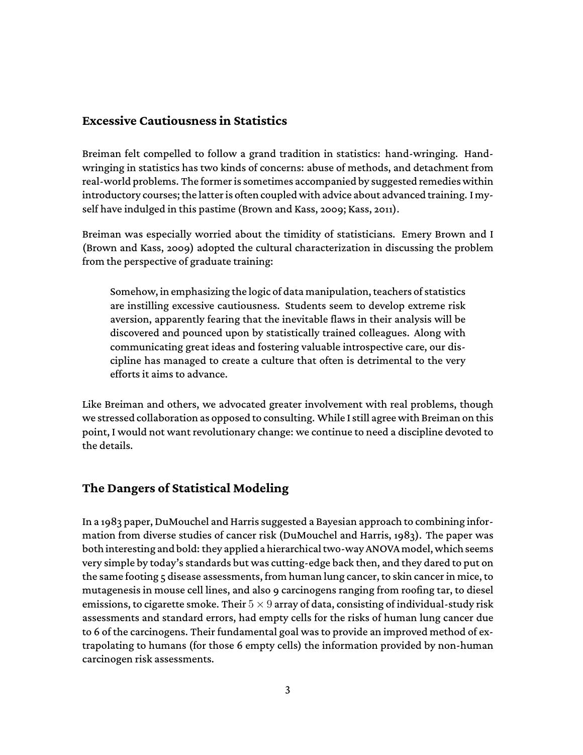#### **Excessive Cautiousness in Statistics**

Breiman felt compelled to follow a grand tradition in statistics: hand-wringing. Handwringing in statistics has two kinds of concerns: abuse of methods, and detachment from real-world problems. The former is sometimes accompanied by suggested remedies within introductory courses; the latter is often coupled with advice about advanced training. I myself have indulged in this pastime (Brown and Kass, 2009; Kass, 2011).

Breiman was especially worried about the timidity of statisticians. Emery Brown and I (Brown and Kass, 2009) adopted the cultural characterization in discussing the problem from the perspective of graduate training:

Somehow, in emphasizing the logic of data manipulation, teachers of statistics are instilling excessive cautiousness. Students seem to develop extreme risk aversion, apparently fearing that the inevitable flaws in their analysis will be discovered and pounced upon by statistically trained colleagues. Along with communicating great ideas and fostering valuable introspective care, our discipline has managed to create a culture that often is detrimental to the very efforts it aims to advance.

Like Breiman and others, we advocated greater involvement with real problems, though we stressed collaboration as opposed to consulting. While I still agree with Breiman on this point, I would not want revolutionary change: we continue to need a discipline devoted to the details.

#### **The Dangers of Statistical Modeling**

In a 1983 paper, DuMouchel and Harris suggested a Bayesian approach to combining information from diverse studies of cancer risk (DuMouchel and Harris, 1983). The paper was both interesting and bold: they applied a hierarchical two-way ANOVAmodel, which seems very simple by today's standards but was cutting-edge back then, and they dared to put on the same footing 5 disease assessments, from human lung cancer, to skin cancer in mice, to mutagenesis in mouse cell lines, and also 9 carcinogens ranging from roofing tar, to diesel emissions, to cigarette smoke. Their  $5 \times 9$  array of data, consisting of individual-study risk assessments and standard errors, had empty cells for the risks of human lung cancer due to 6 of the carcinogens. Their fundamental goal was to provide an improved method of extrapolating to humans (for those 6 empty cells) the information provided by non-human carcinogen risk assessments.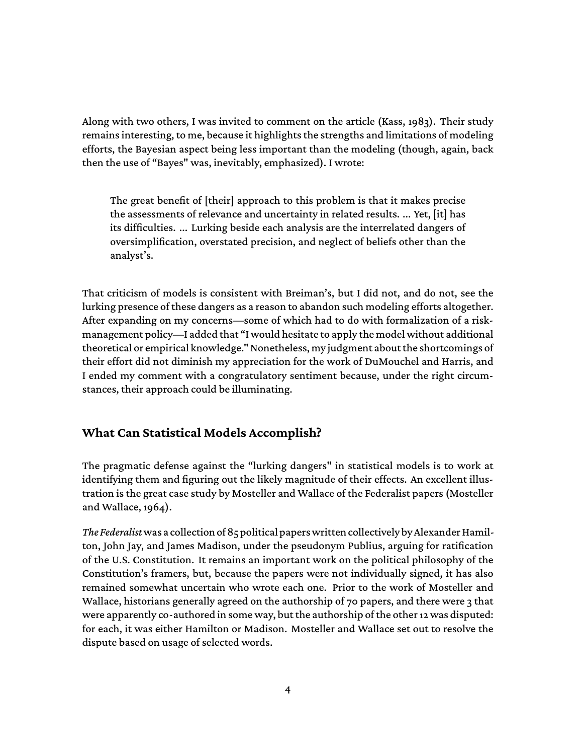Along with two others, I was invited to comment on the article (Kass, 1983). Their study remains interesting, to me, because it highlights the strengths and limitations of modeling efforts, the Bayesian aspect being less important than the modeling (though, again, back then the use of "Bayes" was, inevitably, emphasized). I wrote:

The great benefit of [their] approach to this problem is that it makes precise the assessments of relevance and uncertainty in related results. ... Yet, [it] has its difficulties. ... Lurking beside each analysis are the interrelated dangers of oversimplification, overstated precision, and neglect of beliefs other than the analyst's.

That criticism of models is consistent with Breiman's, but I did not, and do not, see the lurking presence of these dangers as a reason to abandon such modeling efforts altogether. After expanding on my concerns—some of which had to do with formalization of a riskmanagement policy—I added that "I would hesitate to apply the model without additional theoretical or empirical knowledge." Nonetheless, my judgment about the shortcomings of their effort did not diminish my appreciation for the work of DuMouchel and Harris, and I ended my comment with a congratulatory sentiment because, under the right circumstances, their approach could be illuminating.

#### **What Can Statistical Models Accomplish?**

The pragmatic defense against the "lurking dangers" in statistical models is to work at identifying them and figuring out the likely magnitude of their effects. An excellent illustration is the great case study by Mosteller and Wallace of the Federalist papers (Mosteller and Wallace, 1964).

The Federalist was a collection of 85 political papers written collectively by Alexander Hamilton, John Jay, and James Madison, under the pseudonym Publius, arguing for ratification of the U.S. Constitution. It remains an important work on the political philosophy of the Constitution's framers, but, because the papers were not individually signed, it has also remained somewhat uncertain who wrote each one. Prior to the work of Mosteller and Wallace, historians generally agreed on the authorship of 70 papers, and there were 3 that were apparently co-authored in some way, but the authorship of the other 12 was disputed: for each, it was either Hamilton or Madison. Mosteller and Wallace set out to resolve the dispute based on usage of selected words.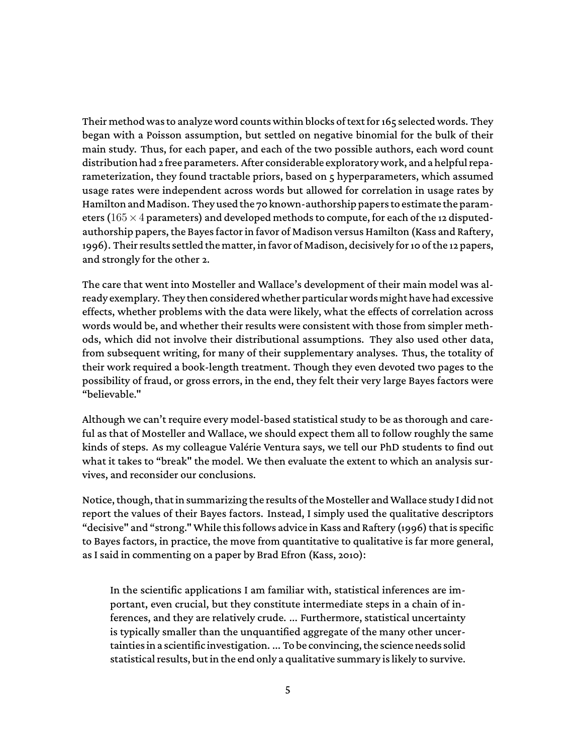Their method was to analyze word counts within blocks of text for 165 selected words. They began with a Poisson assumption, but settled on negative binomial for the bulk of their main study. Thus, for each paper, and each of the two possible authors, each word count distribution had 2 free parameters. After considerable exploratory work, and a helpful reparameterization, they found tractable priors, based on 5 hyperparameters, which assumed usage rates were independent across words but allowed for correlation in usage rates by Hamilton and Madison. They used the 70 known-authorship papers to estimate the parameters (165  $\times$  4 parameters) and developed methods to compute, for each of the 12 disputedauthorship papers, the Bayes factor in favor of Madison versus Hamilton (Kass and Raftery, 1996). Their results settled the matter, in favor of Madison, decisively for 10 of the 12 papers, and strongly for the other 2.

The care that went into Mosteller and Wallace's development of their main model was already exemplary. They then considered whether particular wordsmight have had excessive effects, whether problems with the data were likely, what the effects of correlation across words would be, and whether their results were consistent with those from simpler methods, which did not involve their distributional assumptions. They also used other data, from subsequent writing, for many of their supplementary analyses. Thus, the totality of their work required a book-length treatment. Though they even devoted two pages to the possibility of fraud, or gross errors, in the end, they felt their very large Bayes factors were "believable."

Although we can't require every model-based statistical study to be as thorough and careful as that of Mosteller and Wallace, we should expect them all to follow roughly the same kinds of steps. As my colleague Valérie Ventura says, we tell our PhD students to find out what it takes to "break" the model. We then evaluate the extent to which an analysis survives, and reconsider our conclusions.

Notice, though, that in summarizing the results of the Mosteller and Wallace study I did not report the values of their Bayes factors. Instead, I simply used the qualitative descriptors "decisive" and "strong."While this follows advice in Kass and Raftery (1996) that is specific to Bayes factors, in practice, the move from quantitative to qualitative is far more general, as I said in commenting on a paper by Brad Efron (Kass, 2010):

In the scientific applications I am familiar with, statistical inferences are important, even crucial, but they constitute intermediate steps in a chain of inferences, and they are relatively crude. ... Furthermore, statistical uncertainty is typically smaller than the unquantified aggregate of the many other uncertaintiesin a scientificinvestigation. ... To be convincing, the science needs solid statistical results, but in the end only a qualitative summary is likely to survive.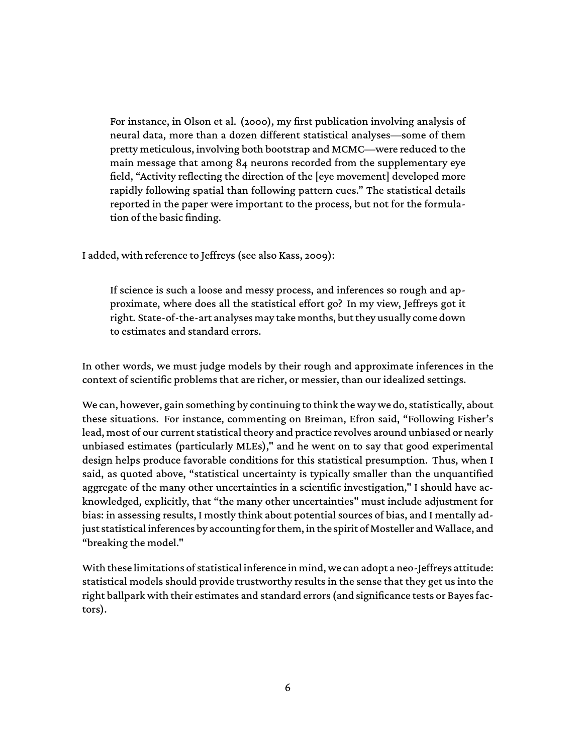For instance, in Olson et al. (2000), my first publication involving analysis of neural data, more than a dozen different statistical analyses—some of them pretty meticulous, involving both bootstrap and MCMC—were reduced to the main message that among 84 neurons recorded from the supplementary eye field, "Activity reflecting the direction of the [eye movement] developed more rapidly following spatial than following pattern cues." The statistical details reported in the paper were important to the process, but not for the formulation of the basic finding.

I added, with reference to Jeffreys (see also Kass, 2009):

If science is such a loose and messy process, and inferences so rough and approximate, where does all the statistical effort go? In my view, Jeffreys got it right. State-of-the-art analyses may take months, but they usually come down to estimates and standard errors.

In other words, we must judge models by their rough and approximate inferences in the context of scientific problems that are richer, or messier, than our idealized settings.

We can, however, gain something by continuing to think the way we do, statistically, about these situations. For instance, commenting on Breiman, Efron said, "Following Fisher's lead, most of our current statistical theory and practice revolves around unbiased or nearly unbiased estimates (particularly MLEs)," and he went on to say that good experimental design helps produce favorable conditions for this statistical presumption. Thus, when I said, as quoted above, "statistical uncertainty is typically smaller than the unquantified aggregate of the many other uncertainties in a scientific investigation," I should have acknowledged, explicitly, that "the many other uncertainties" must include adjustment for bias: in assessing results, I mostly think about potential sources of bias, and I mentally adjust statistical inferences by accounting for them, in the spirit of Mosteller and Wallace, and "breaking the model."

With these limitations of statistical inference in mind, we can adopt a neo-Jeffreys attitude: statistical models should provide trustworthy results in the sense that they get us into the right ballpark with their estimates and standard errors (and significance tests or Bayes factors).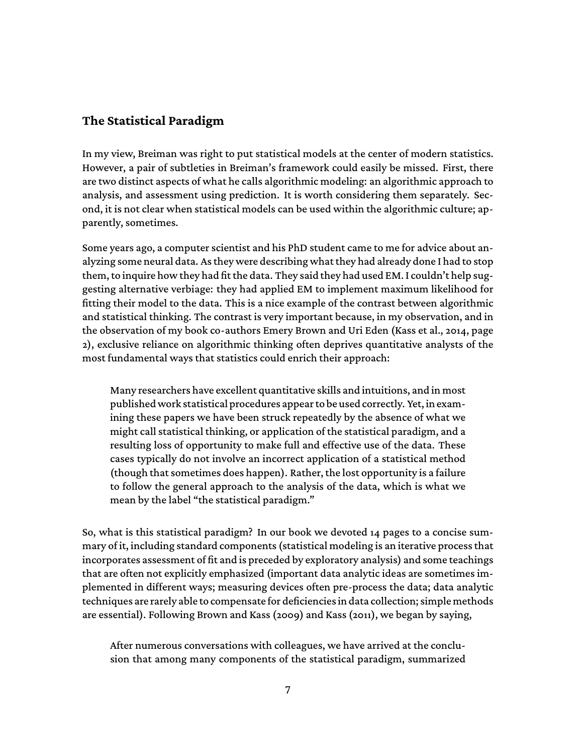#### **The Statistical Paradigm**

In my view, Breiman was right to put statistical models at the center of modern statistics. However, a pair of subtleties in Breiman's framework could easily be missed. First, there are two distinct aspects of what he calls algorithmic modeling: an algorithmic approach to analysis, and assessment using prediction. It is worth considering them separately. Second, it is not clear when statistical models can be used within the algorithmic culture; apparently, sometimes.

Some years ago, a computer scientist and his PhD student came to me for advice about analyzing some neural data. As they were describing what they had already done I had to stop them, to inquire how they had fit the data. They said they had used EM. I couldn't help suggesting alternative verbiage: they had applied EM to implement maximum likelihood for fitting their model to the data. This is a nice example of the contrast between algorithmic and statistical thinking. The contrast is very important because, in my observation, and in the observation of my book co-authors Emery Brown and Uri Eden (Kass et al., 2014, page 2), exclusive reliance on algorithmic thinking often deprives quantitative analysts of the most fundamental ways that statistics could enrich their approach:

Many researchers have excellent quantitative skills and intuitions, and in most published work statistical procedures appear to be used correctly. Yet, in examining these papers we have been struck repeatedly by the absence of what we might call statistical thinking, or application of the statistical paradigm, and a resulting loss of opportunity to make full and effective use of the data. These cases typically do not involve an incorrect application of a statistical method (though that sometimes does happen). Rather, the lost opportunity is a failure to follow the general approach to the analysis of the data, which is what we mean by the label "the statistical paradigm."

So, what is this statistical paradigm? In our book we devoted 14 pages to a concise summary of it, including standard components (statistical modeling is an iterative process that incorporates assessment of fit and is preceded by exploratory analysis) and some teachings that are often not explicitly emphasized (important data analytic ideas are sometimes implemented in different ways; measuring devices often pre-process the data; data analytic techniques are rarely able to compensate for deficiencies in data collection; simple methods are essential). Following Brown and Kass (2009) and Kass (2011), we began by saying,

After numerous conversations with colleagues, we have arrived at the conclusion that among many components of the statistical paradigm, summarized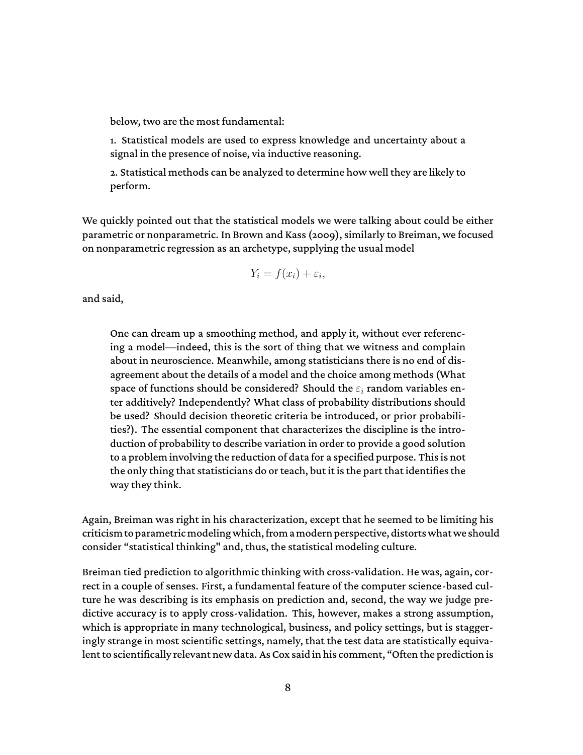below, two are the most fundamental:

1. Statistical models are used to express knowledge and uncertainty about a signal in the presence of noise, via inductive reasoning.

2. Statistical methods can be analyzed to determine how well they are likely to perform.

We quickly pointed out that the statistical models we were talking about could be either parametric or nonparametric. In Brown and Kass (2009), similarly to Breiman, we focused on nonparametric regression as an archetype, supplying the usual model

$$
Y_i = f(x_i) + \varepsilon_i,
$$

and said,

One can dream up a smoothing method, and apply it, without ever referencing a model—indeed, this is the sort of thing that we witness and complain about in neuroscience. Meanwhile, among statisticians there is no end of disagreement about the details of a model and the choice among methods (What space of functions should be considered? Should the  $\varepsilon_i$  random variables enter additively? Independently? What class of probability distributions should be used? Should decision theoretic criteria be introduced, or prior probabilities?). The essential component that characterizes the discipline is the introduction of probability to describe variation in order to provide a good solution to a problem involving the reduction of data for a specified purpose. This is not the only thing that statisticians do or teach, but it is the part that identifies the way they think.

Again, Breiman was right in his characterization, except that he seemed to be limiting his criticism to parametricmodeling which, from amodern perspective, distorts what we should consider "statistical thinking" and, thus, the statistical modeling culture.

Breiman tied prediction to algorithmic thinking with cross-validation. He was, again, correct in a couple of senses. First, a fundamental feature of the computer science-based culture he was describing is its emphasis on prediction and, second, the way we judge predictive accuracy is to apply cross-validation. This, however, makes a strong assumption, which is appropriate in many technological, business, and policy settings, but is staggeringly strange in most scientific settings, namely, that the test data are statistically equivalent to scientifically relevant new data. As Cox said in his comment, "Often the prediction is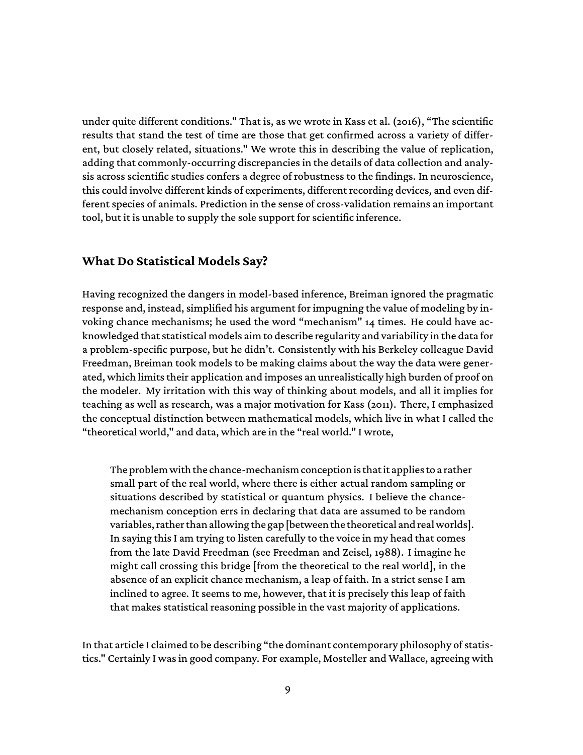under quite different conditions." That is, as we wrote in Kass et al. (2016), "The scientific results that stand the test of time are those that get confirmed across a variety of different, but closely related, situations." We wrote this in describing the value of replication, adding that commonly-occurring discrepancies in the details of data collection and analysis across scientific studies confers a degree of robustness to the findings. In neuroscience, this could involve different kinds of experiments, different recording devices, and even different species of animals. Prediction in the sense of cross-validation remains an important tool, but it is unable to supply the sole support for scientific inference.

#### **What Do Statistical Models Say?**

Having recognized the dangers in model-based inference, Breiman ignored the pragmatic response and, instead, simplified his argument for impugning the value of modeling by invoking chance mechanisms; he used the word "mechanism" 14 times. He could have acknowledged that statistical models aim to describe regularity and variability in the data for a problem-specific purpose, but he didn't. Consistently with his Berkeley colleague David Freedman, Breiman took models to be making claims about the way the data were generated, which limits their application and imposes an unrealistically high burden of proof on the modeler. My irritation with this way of thinking about models, and all it implies for teaching as well as research, was a major motivation for Kass (2011). There, I emphasized the conceptual distinction between mathematical models, which live in what I called the "theoretical world," and data, which are in the "real world." I wrote,

The problem with the chance-mechanism conceptionis thatit applies to a rather small part of the real world, where there is either actual random sampling or situations described by statistical or quantum physics. I believe the chancemechanism conception errs in declaring that data are assumed to be random variables, rather than allowing the gap [between the theoretical and real worlds]. In saying this I am trying to listen carefully to the voice in my head that comes from the late David Freedman (see Freedman and Zeisel, 1988). I imagine he might call crossing this bridge [from the theoretical to the real world], in the absence of an explicit chance mechanism, a leap of faith. In a strict sense I am inclined to agree. It seems to me, however, that it is precisely this leap of faith that makes statistical reasoning possible in the vast majority of applications.

In that article I claimed to be describing "the dominant contemporary philosophy of statistics." Certainly I was in good company. For example, Mosteller and Wallace, agreeing with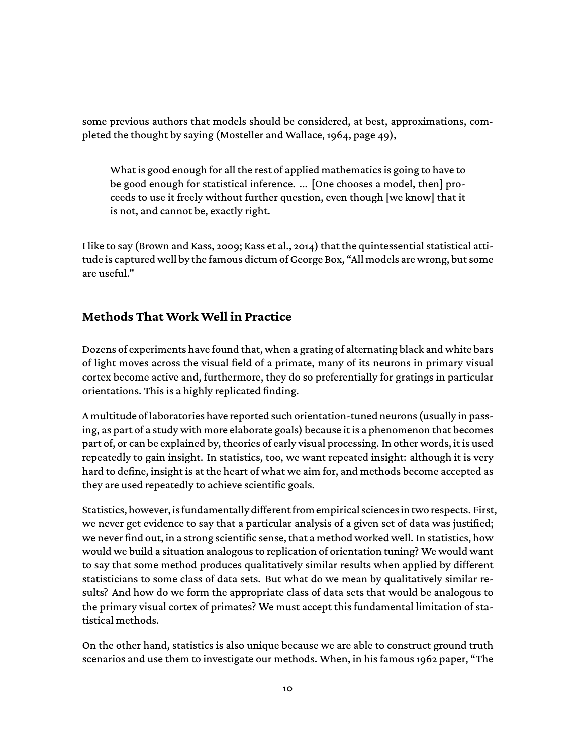some previous authors that models should be considered, at best, approximations, completed the thought by saying (Mosteller and Wallace, 1964, page 49),

What is good enough for all the rest of applied mathematics is going to have to be good enough for statistical inference. ... [One chooses a model, then] proceeds to use it freely without further question, even though [we know] that it is not, and cannot be, exactly right.

I like to say (Brown and Kass, 2009; Kass et al., 2014) that the quintessential statistical attitude is captured well by the famous dictum of George Box, "All models are wrong, but some are useful."

### **Methods That Work Well in Practice**

Dozens of experiments have found that, when a grating of alternating black and white bars of light moves across the visual field of a primate, many of its neurons in primary visual cortex become active and, furthermore, they do so preferentially for gratings in particular orientations. This is a highly replicated finding.

A multitude of laboratories have reported such orientation-tuned neurons (usually in passing, as part of a study with more elaborate goals) because it is a phenomenon that becomes part of, or can be explained by, theories of early visual processing. In other words, it is used repeatedly to gain insight. In statistics, too, we want repeated insight: although it is very hard to define, insight is at the heart of what we aim for, and methods become accepted as they are used repeatedly to achieve scientific goals.

Statistics, however, is fundamentally different from empirical sciencesin two respects. First, we never get evidence to say that a particular analysis of a given set of data was justified; we never find out, in a strong scientific sense, that a method worked well. In statistics, how would we build a situation analogous to replication of orientation tuning? We would want to say that some method produces qualitatively similar results when applied by different statisticians to some class of data sets. But what do we mean by qualitatively similar results? And how do we form the appropriate class of data sets that would be analogous to the primary visual cortex of primates? We must accept this fundamental limitation of statistical methods.

On the other hand, statistics is also unique because we are able to construct ground truth scenarios and use them to investigate our methods. When, in his famous 1962 paper, "The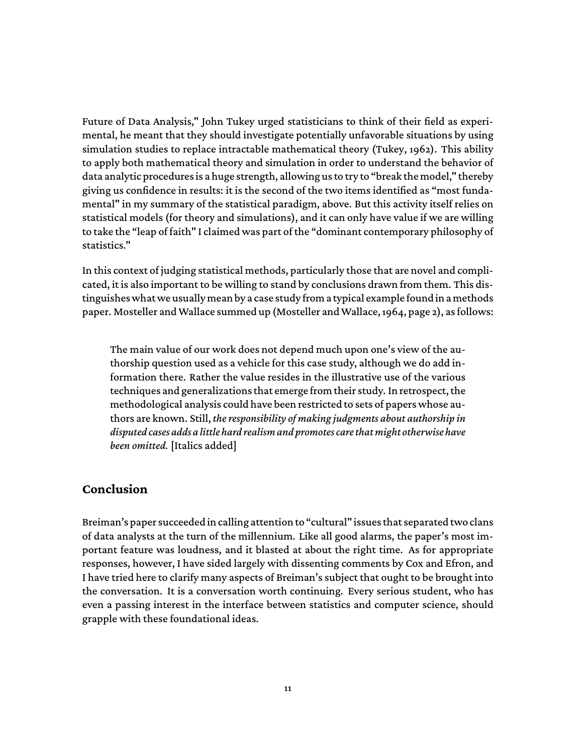Future of Data Analysis," John Tukey urged statisticians to think of their field as experimental, he meant that they should investigate potentially unfavorable situations by using simulation studies to replace intractable mathematical theory (Tukey, 1962). This ability to apply both mathematical theory and simulation in order to understand the behavior of data analytic procedures is a huge strength, allowing us to try to "break the model," thereby giving us confidence in results: it is the second of the two items identified as "most fundamental" in my summary of the statistical paradigm, above. But this activity itself relies on statistical models (for theory and simulations), and it can only have value if we are willing to take the "leap of faith" I claimed was part of the "dominant contemporary philosophy of statistics."

In this context of judging statistical methods, particularly those that are novel and complicated, it is also important to be willing to stand by conclusions drawn from them. This distinguishes what we usuallymean by a case study from a typical example foundin amethods paper. Mosteller and Wallace summed up (Mosteller and Wallace, 1964, page 2), as follows:

The main value of our work does not depend much upon one's view of the authorship question used as a vehicle for this case study, although we do add information there. Rather the value resides in the illustrative use of the various techniques and generalizations that emerge from their study. In retrospect, the methodological analysis could have been restricted to sets of papers whose authors are known. Still, *the responsibility of making judgments about authorship in disputed cases adds a little hard realism and promotes care that might otherwise have been omitted.* [Italics added]

#### **Conclusion**

Breiman's paper succeeded in calling attention to "cultural" issues that separated two clans of data analysts at the turn of the millennium. Like all good alarms, the paper's most important feature was loudness, and it blasted at about the right time. As for appropriate responses, however, I have sided largely with dissenting comments by Cox and Efron, and I have tried here to clarify many aspects of Breiman's subject that ought to be brought into the conversation. It is a conversation worth continuing. Every serious student, who has even a passing interest in the interface between statistics and computer science, should grapple with these foundational ideas.